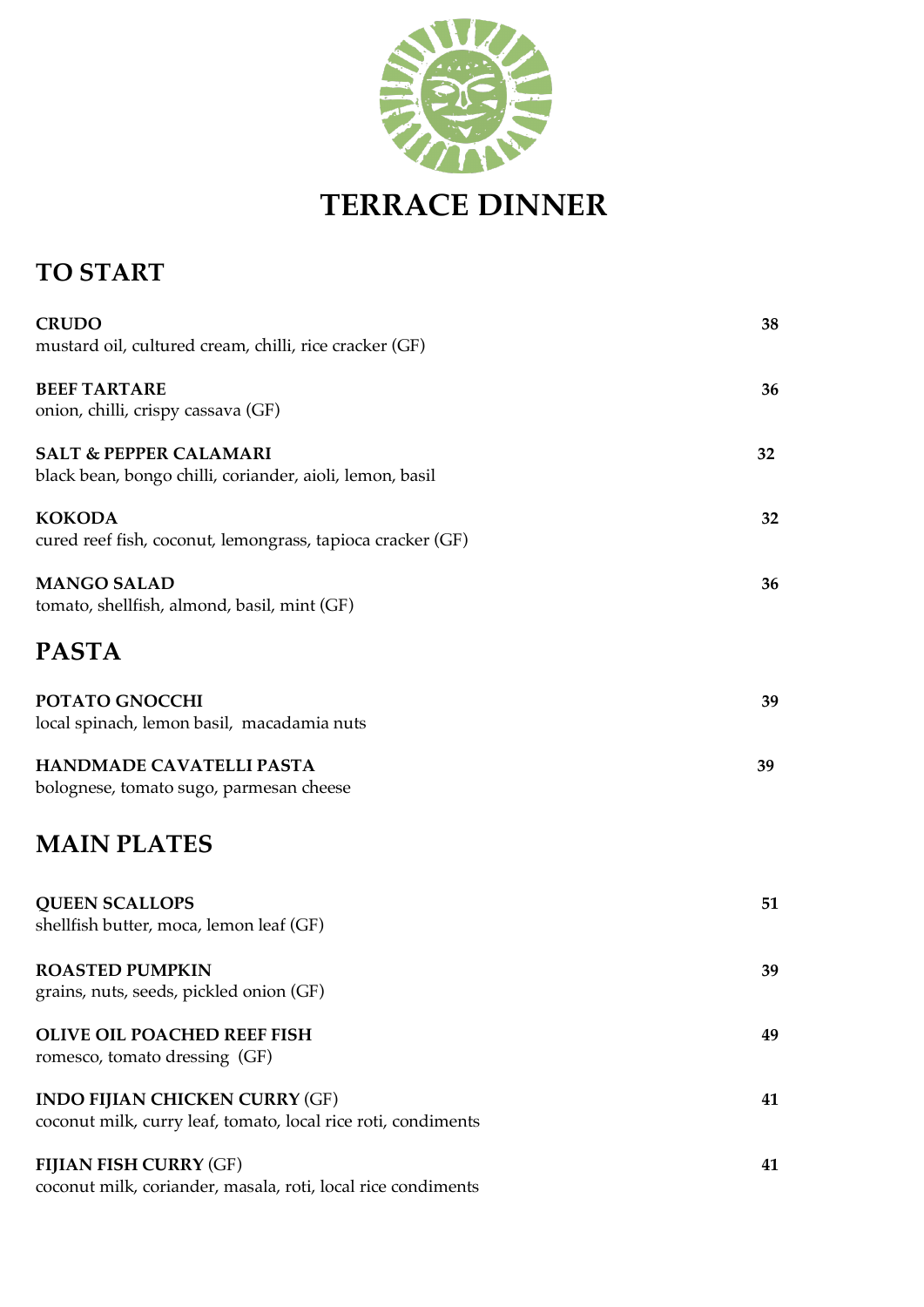

## **TO START**

| <b>CRUDO</b><br>mustard oil, cultured cream, chilli, rice cracker (GF)                                 | 38 |
|--------------------------------------------------------------------------------------------------------|----|
| <b>BEEF TARTARE</b><br>onion, chilli, crispy cassava (GF)                                              | 36 |
| <b>SALT &amp; PEPPER CALAMARI</b><br>black bean, bongo chilli, coriander, aioli, lemon, basil          | 32 |
| <b>KOKODA</b><br>cured reef fish, coconut, lemongrass, tapioca cracker (GF)                            | 32 |
| <b>MANGO SALAD</b><br>tomato, shellfish, almond, basil, mint (GF)                                      | 36 |
| PASTA                                                                                                  |    |
| POTATO GNOCCHI<br>local spinach, lemon basil, macadamia nuts                                           | 39 |
| HANDMADE CAVATELLI PASTA<br>bolognese, tomato sugo, parmesan cheese                                    | 39 |
| <b>MAIN PLATES</b>                                                                                     |    |
| <b>QUEEN SCALLOPS</b><br>shellfish butter, moca, lemon leaf (GF)                                       | 51 |
| <b>ROASTED PUMPKIN</b><br>grains, nuts, seeds, pickled onion (GF)                                      | 39 |
| <b>OLIVE OIL POACHED REEF FISH</b><br>romesco, tomato dressing (GF)                                    | 49 |
| <b>INDO FIJIAN CHICKEN CURRY (GF)</b><br>coconut milk, curry leaf, tomato, local rice roti, condiments | 41 |
| <b>FIJIAN FISH CURRY (GF)</b><br>coconut milk, coriander, masala, roti, local rice condiments          | 41 |